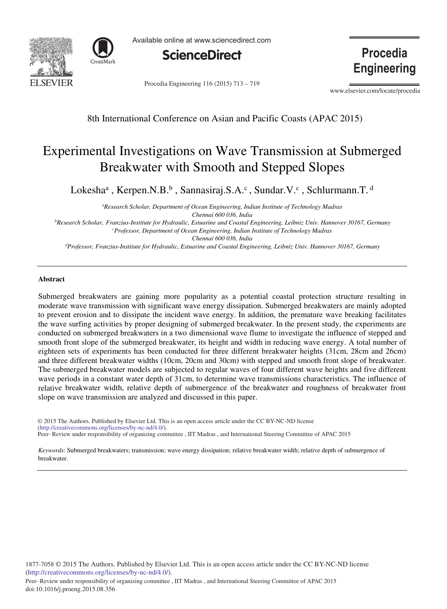



Available online at www.sciencedirect.com



Procedia Engineering 116 (2015) 713 - 719

**Procedia Engineering** 

www.elsevier.com/locate/procedia

8th International Conference on Asian and Pacific Coasts (APAC 2015)

# Experimental Investigations on Wave Transmission at Submerged Breakwater with Smooth and Stepped Slopes

Lokesha<sup>a</sup>, Kerpen.N.B.<sup>b</sup>, Sannasiraj.S.A.<sup>c</sup>, Sundar.V.<sup>c</sup>, Schlurmann.T.<sup>d</sup>

*a Research Scholar, Department of Ocean Engineering, Indian Institute of Technology Madras Chennai 600 036, India*

*b Research Scholar, Franzius-Institute for Hydraulic, Estuarine and Coastal Engineering, Leibniz Univ. Hannover 30167, Germany c Professor, Department of Ocean Engineering, Indian Institute of Technology Madras Chennai 600 036, India*

*d Professor, Franzius-Institute for Hydraulic, Estuarine and Coastal Engineering, Leibniz Univ. Hannover 30167, Germany*

## **Abstract**

Submerged breakwaters are gaining more popularity as a potential coastal protection structure resulting in moderate wave transmission with significant wave energy dissipation. Submerged breakwaters are mainly adopted to prevent erosion and to dissipate the incident wave energy. In addition, the premature wave breaking facilitates the wave surfing activities by proper designing of submerged breakwater. In the present study, the experiments are conducted on submerged breakwaters in a two dimensional wave flume to investigate the influence of stepped and smooth front slope of the submerged breakwater, its height and width in reducing wave energy. A total number of eighteen sets of experiments has been conducted for three different breakwater heights (31cm, 28cm and 26cm) and three different breakwater widths (10cm, 20cm and 30cm) with stepped and smooth front slope of breakwater. The submerged breakwater models are subjected to regular waves of four different wave heights and five different wave periods in a constant water depth of 31cm, to determine wave transmissions characteristics. The influence of relative breakwater width, relative depth of submergence of the breakwater and roughness of breakwater front slope on wave transmission are analyzed and discussed in this paper.

© 2014 The Authors. Published by Elsevier B.V. (http://creativecommons.org/licenses/by-nc-nd/4.0/). Peer-Review under responsibility of organizing committee, IIT Madras, and International Steering Committee of APAC 2015 © 2015 The Authors. Published by Elsevier Ltd. This is an open access article under the CC BY-NC-ND license

*Keywords*: Submerged breakwaters; transmission; wave energy dissipation; relative breakwater width; relative depth of submergence of breakwater.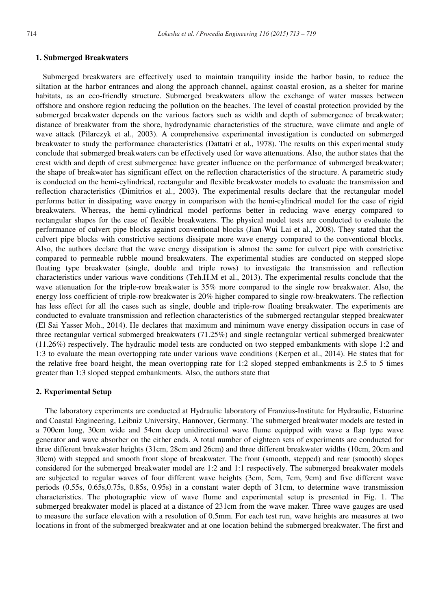## **1. Submerged Breakwaters**

Submerged breakwaters are effectively used to maintain tranquility inside the harbor basin, to reduce the siltation at the harbor entrances and along the approach channel, against coastal erosion, as a shelter for marine habitats, as an eco-friendly structure. Submerged breakwaters allow the exchange of water masses between offshore and onshore region reducing the pollution on the beaches. The level of coastal protection provided by the submerged breakwater depends on the various factors such as width and depth of submergence of breakwater; distance of breakwater from the shore, hydrodynamic characteristics of the structure, wave climate and angle of wave attack (Pilarczyk et al., 2003). A comprehensive experimental investigation is conducted on submerged breakwater to study the performance characteristics (Dattatri et al., 1978). The results on this experimental study conclude that submerged breakwaters can be effectively used for wave attenuations. Also, the author states that the crest width and depth of crest submergence have greater influence on the performance of submerged breakwater; the shape of breakwater has significant effect on the reflection characteristics of the structure. A parametric study is conducted on the hemi-cylindrical, rectangular and flexible breakwater models to evaluate the transmission and reflection characteristics (Dimitrios et al., 2003). The experimental results declare that the rectangular model performs better in dissipating wave energy in comparison with the hemi-cylindrical model for the case of rigid breakwaters. Whereas, the hemi-cylindrical model performs better in reducing wave energy compared to rectangular shapes for the case of flexible breakwaters. The physical model tests are conducted to evaluate the performance of culvert pipe blocks against conventional blocks (Jian-Wui Lai et al., 2008). They stated that the culvert pipe blocks with constrictive sections dissipate more wave energy compared to the conventional blocks. Also, the authors declare that the wave energy dissipation is almost the same for culvert pipe with constrictive compared to permeable rubble mound breakwaters. The experimental studies are conducted on stepped slope floating type breakwater (single, double and triple rows) to investigate the transmission and reflection characteristics under various wave conditions (Teh.H.M et al., 2013). The experimental results conclude that the wave attenuation for the triple-row breakwater is 35% more compared to the single row breakwater. Also, the energy loss coefficient of triple-row breakwater is 20% higher compared to single row-breakwaters. The reflection has less effect for all the cases such as single, double and triple-row floating breakwater. The experiments are conducted to evaluate transmission and reflection characteristics of the submerged rectangular stepped breakwater (El Sai Yasser Moh., 2014). He declares that maximum and minimum wave energy dissipation occurs in case of three rectangular vertical submerged breakwaters (71.25%) and single rectangular vertical submerged breakwater (11.26%) respectively. The hydraulic model tests are conducted on two stepped embankments with slope 1:2 and 1:3 to evaluate the mean overtopping rate under various wave conditions (Kerpen et al., 2014). He states that for the relative free board height, the mean overtopping rate for 1:2 sloped stepped embankments is 2.5 to 5 times greater than 1:3 sloped stepped embankments. Also, the authors state that

#### **2. Experimental Setup**

The laboratory experiments are conducted at Hydraulic laboratory of Franzius-Institute for Hydraulic, Estuarine and Coastal Engineering, Leibniz University, Hannover, Germany. The submerged breakwater models are tested in a 700cm long, 30cm wide and 54cm deep unidirectional wave flume equipped with wave a flap type wave generator and wave absorber on the either ends. A total number of eighteen sets of experiments are conducted for three different breakwater heights (31cm, 28cm and 26cm) and three different breakwater widths (10cm, 20cm and 30cm) with stepped and smooth front slope of breakwater. The front (smooth, stepped) and rear (smooth) slopes considered for the submerged breakwater model are 1:2 and 1:1 respectively. The submerged breakwater models are subjected to regular waves of four different wave heights (3cm, 5cm, 7cm, 9cm) and five different wave periods (0.55s, 0.65s,0.75s, 0.85s, 0.95s) in a constant water depth of 31cm, to determine wave transmission characteristics. The photographic view of wave flume and experimental setup is presented in Fig. 1. The submerged breakwater model is placed at a distance of 231cm from the wave maker. Three wave gauges are used to measure the surface elevation with a resolution of 0.5mm. For each test run, wave heights are measures at two locations in front of the submerged breakwater and at one location behind the submerged breakwater. The first and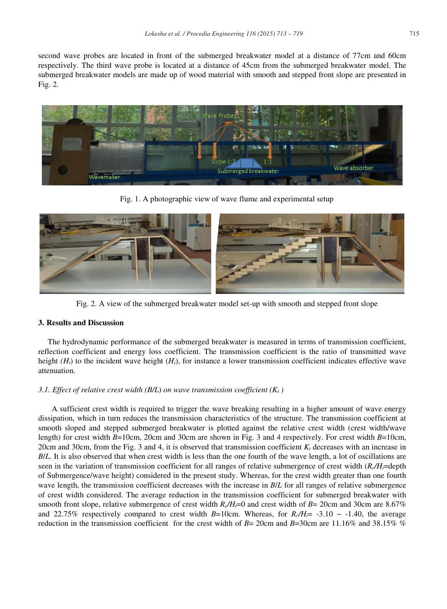second wave probes are located in front of the submerged breakwater model at a distance of 77cm and 60cm respectively. The third wave probe is located at a distance of 45cm from the submerged breakwater model. The submerged breakwater models are made up of wood material with smooth and stepped front slope are presented in Fig. 2.



Fig. 1. A photographic view of wave flume and experimental setup



Fig. 2. A view of the submerged breakwater model set-up with smooth and stepped front slope

## **3. Results and Discussion**

The hydrodynamic performance of the submerged breakwater is measured in terms of transmission coefficient, reflection coefficient and energy loss coefficient. The transmission coefficient is the ratio of transmitted wave height  $(H_t)$  to the incident wave height  $(H_i)$ , for instance a lower transmission coefficient indicates effective wave attenuation.

#### 3.1. Effect of relative crest width (B/L) on wave transmission coefficient  $(K_t)$

A sufficient crest width is required to trigger the wave breaking resulting in a higher amount of wave energy dissipation, which in turn reduces the transmission characteristics of the structure. The transmission coefficient at smooth sloped and stepped submerged breakwater is plotted against the relative crest width (crest width/wave length) for crest width *B*=10cm, 20cm and 30cm are shown in Fig. 3 and 4 respectively. For crest width *B*=10cm, 20cm and 30cm, from the Fig. 3 and 4, it is observed that transmission coefficient  $K_t$  decreases with an increase in *B*/*L*. It is also observed that when crest width is less than the one fourth of the wave length, a lot of oscillations are seen in the variation of transmission coefficient for all ranges of relative submergence of crest width  $(R<sub>c</sub>/H<sub>i</sub>=$ depth of Submergence/wave height) considered in the present study. Whereas, for the crest width greater than one fourth wave length, the transmission coefficient decreases with the increase in *B*/*L* for all ranges of relative submergence of crest width considered. The average reduction in the transmission coefficient for submerged breakwater with smooth front slope, relative submergence of crest width  $R/H_i=0$  and crest width of *B*= 20cm and 30cm are 8.67% and 22.75% respectively compared to crest width  $B=10$ cm. Whereas, for  $R_{\alpha}/H_{\alpha} = -3.10 \sim -1.40$ , the average reduction in the transmission coefficient for the crest width of *B*= 20cm and *B*=30cm are 11.16% and 38.15% %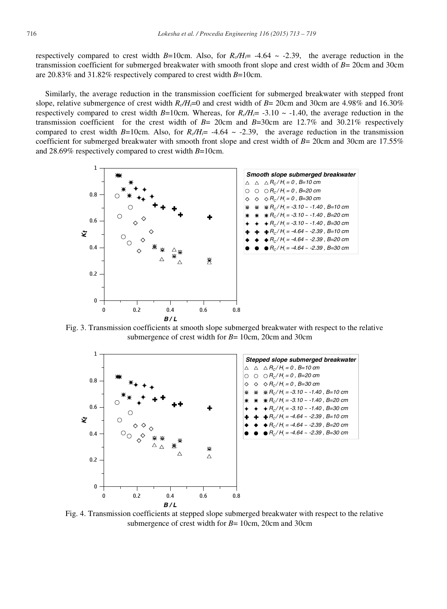respectively compared to crest width *B*=10cm. Also, for  $R_c/H$  = -4.64 ~ -2.39, the average reduction in the transmission coefficient for submerged breakwater with smooth front slope and crest width of *B*= 20cm and 30cm are 20.83% and 31.82% respectively compared to crest width *B*=10cm.

Similarly, the average reduction in the transmission coefficient for submerged breakwater with stepped front slope, relative submergence of crest width *R<sub>c</sub>/H<sub>i</sub>*=0 and crest width of *B*= 20cm and 30cm are 4.98% and 16.30% respectively compared to crest width *B*=10cm. Whereas, for  $R_c/H = -3.10 \sim -1.40$ , the average reduction in the transmission coefficient for the crest width of *B*= 20cm and *B*=30cm are 12.7% and 30.21% respectively compared to crest width *B*=10cm. Also, for  $R_c/H$  = -4.64 ~ -2.39, the average reduction in the transmission coefficient for submerged breakwater with smooth front slope and crest width of *B*= 20cm and 30cm are 17.55% and 28.69% respectively compared to crest width *B*=10cm.



Fig. 3. Transmission coefficients at smooth slope submerged breakwater with respect to the relative submergence of crest width for *B*= 10cm, 20cm and 30cm



Fig. 4. Transmission coefficients at stepped slope submerged breakwater with respect to the relative submergence of crest width for *B*= 10cm, 20cm and 30cm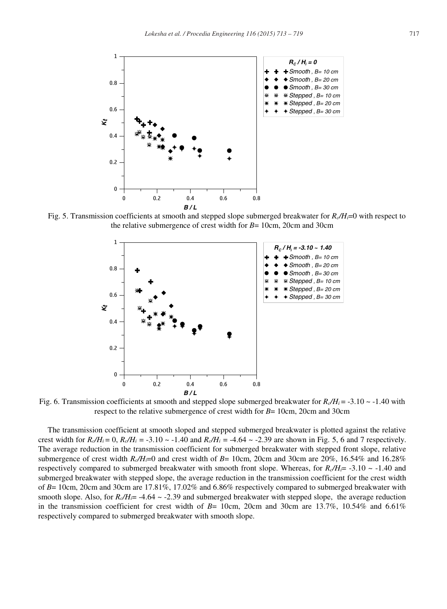

Fig. 5. Transmission coefficients at smooth and stepped slope submerged breakwater for  $R_c/H_i=0$  with respect to the relative submergence of crest width for *B*= 10cm, 20cm and 30cm



Fig. 6. Transmission coefficients at smooth and stepped slope submerged breakwater for  $R_{c}/H_{i} = -3.10 \sim -1.40$  with respect to the relative submergence of crest width for *B*= 10cm, 20cm and 30cm

The transmission coefficient at smooth sloped and stepped submerged breakwater is plotted against the relative crest width for  $R_c/H_i = 0$ ,  $R_c/H_i = -3.10 \sim -1.40$  and  $R_c/H_i = -4.64 \sim -2.39$  are shown in Fig. 5, 6 and 7 respectively. The average reduction in the transmission coefficient for submerged breakwater with stepped front slope, relative submergence of crest width  $R_c/H_i=0$  and crest width of  $B=10$ cm, 20cm and 30cm are 20%, 16.54% and 16.28% respectively compared to submerged breakwater with smooth front slope. Whereas, for *Rc/Hi*= -3.10 ~ -1.40 and submerged breakwater with stepped slope, the average reduction in the transmission coefficient for the crest width of *B*= 10cm, 20cm and 30cm are 17.81%, 17.02% and 6.86% respectively compared to submerged breakwater with smooth slope. Also, for  $R/H = -4.64 \sim -2.39$  and submerged breakwater with stepped slope, the average reduction in the transmission coefficient for crest width of  $B=10$ cm, 20cm and 30cm are 13.7%, 10.54% and 6.61% respectively compared to submerged breakwater with smooth slope.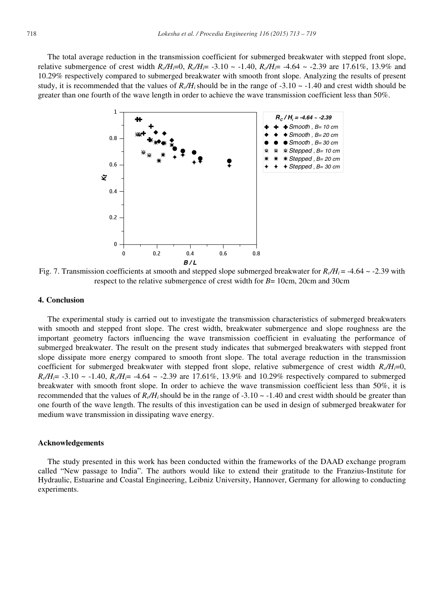The total average reduction in the transmission coefficient for submerged breakwater with stepped front slope, relative submergence of crest width  $R/H$ =0,  $R/H$ = -3.10 ~ -1.40,  $R/H$ = -4.64 ~ -2.39 are 17.61%, 13.9% and 10.29% respectively compared to submerged breakwater with smooth front slope. Analyzing the results of present study, it is recommended that the values of  $R_c/H_i$  should be in the range of -3.10  $\sim$  -1.40 and crest width should be greater than one fourth of the wave length in order to achieve the wave transmission coefficient less than 50%.



Fig. 7. Transmission coefficients at smooth and stepped slope submerged breakwater for  $R_{\textit{o}}/H_i = -4.64 \sim -2.39$  with respect to the relative submergence of crest width for *B*= 10cm, 20cm and 30cm

#### **4. Conclusion**

The experimental study is carried out to investigate the transmission characteristics of submerged breakwaters with smooth and stepped front slope. The crest width, breakwater submergence and slope roughness are the important geometry factors influencing the wave transmission coefficient in evaluating the performance of submerged breakwater. The result on the present study indicates that submerged breakwaters with stepped front slope dissipate more energy compared to smooth front slope. The total average reduction in the transmission coefficient for submerged breakwater with stepped front slope, relative submergence of crest width  $R_c/H_i=0$ ,  $R_c/H$   $\approx$  -1.40,  $R_c/H$   $\approx$  -4.64  $\sim$  -2.39 are 17.61%, 13.9% and 10.29% respectively compared to submerged breakwater with smooth front slope. In order to achieve the wave transmission coefficient less than 50%, it is recommended that the values of  $R_c/H_i$  should be in the range of  $-3.10 \sim -1.40$  and crest width should be greater than one fourth of the wave length. The results of this investigation can be used in design of submerged breakwater for medium wave transmission in dissipating wave energy.

## **Acknowledgements**

The study presented in this work has been conducted within the frameworks of the DAAD exchange program called "New passage to India". The authors would like to extend their gratitude to the Franzius-Institute for Hydraulic, Estuarine and Coastal Engineering, Leibniz University, Hannover, Germany for allowing to conducting experiments.